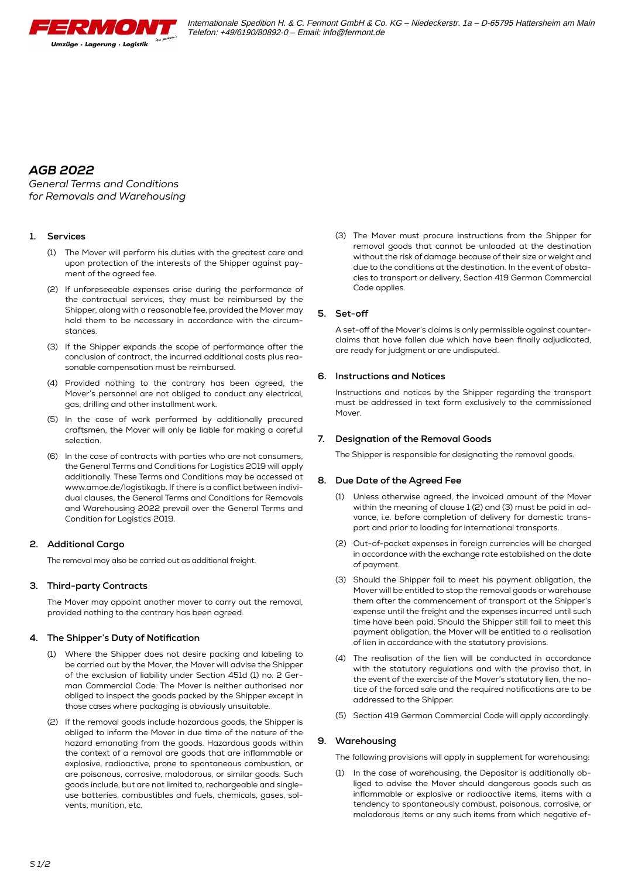

## *AGB 2022*

*General Terms and Conditions for Removals and Warehousing*

## **1. Services**

- (1) The Mover will perform his duties with the greatest care and upon protection of the interests of the Shipper against payment of the agreed fee.
- (2) If unforeseeable expenses arise during the performance of the contractual services, they must be reimbursed by the Shipper, along with a reasonable fee, provided the Mover may hold them to be necessary in accordance with the circumstances.
- (3) If the Shipper expands the scope of performance after the conclusion of contract, the incurred additional costs plus reasonable compensation must be reimbursed.
- (4) Provided nothing to the contrary has been agreed, the Mover's personnel are not obliged to conduct any electrical, gas, drilling and other installment work.
- (5) In the case of work performed by additionally procured craftsmen, the Mover will only be liable for making a careful selection.
- (6) In the case of contracts with parties who are not consumers, the General Terms and Conditions for Logistics 2019 will apply additionally. These Terms and Conditions may be accessed at www.amoe.de/logistikagb. If there is a conflict between individual clauses, the General Terms and Conditions for Removals and Warehousing 2022 prevail over the General Terms and Condition for Logistics 2019.

## **2. Additional Cargo**

The removal may also be carried out as additional freight.

## **3. Third-party Contracts**

The Mover may appoint another mover to carry out the removal, provided nothing to the contrary has been agreed.

## **4. The Shipper's Duty of Notification**

- (1) Where the Shipper does not desire packing and labeling to be carried out by the Mover, the Mover will advise the Shipper of the exclusion of liability under Section 451d (1) no. 2 German Commercial Code. The Mover is neither authorised nor obliged to inspect the goods packed by the Shipper except in those cases where packaging is obviously unsuitable.
- (2) If the removal goods include hazardous goods, the Shipper is obliged to inform the Mover in due time of the nature of the hazard emanating from the goods. Hazardous goods within the context of a removal are goods that are inflammable or explosive, radioactive, prone to spontaneous combustion, or are poisonous, corrosive, malodorous, or similar goods. Such goods include, but are not limited to, rechargeable and singleuse batteries, combustibles and fuels, chemicals, gases, solvents, munition, etc.

(3) The Mover must procure instructions from the Shipper for removal goods that cannot be unloaded at the destination without the risk of damage because of their size or weight and due to the conditions at the destination. In the event of obstacles to transport or delivery, Section 419 German Commercial Code applies.

## **5. Set-off**

A set-off of the Mover's claims is only permissible against counterclaims that have fallen due which have been finally adjudicated, are ready for judgment or are undisputed.

## **6. Instructions and Notices**

Instructions and notices by the Shipper regarding the transport must be addressed in text form exclusively to the commissioned Mover.

## **7. Designation of the Removal Goods**

The Shipper is responsible for designating the removal goods.

## **8. Due Date of the Agreed Fee**

- (1) Unless otherwise agreed, the invoiced amount of the Mover within the meaning of clause 1 (2) and (3) must be paid in advance, i.e. before completion of delivery for domestic transport and prior to loading for international transports.
- (2) Out-of-pocket expenses in foreign currencies will be charged in accordance with the exchange rate established on the date of payment.
- (3) Should the Shipper fail to meet his payment obligation, the Mover will be entitled to stop the removal goods or warehouse them after the commencement of transport at the Shipper's expense until the freight and the expenses incurred until such time have been paid. Should the Shipper still fail to meet this payment obligation, the Mover will be entitled to a realisation of lien in accordance with the statutory provisions.
- (4) The realisation of the lien will be conducted in accordance with the statutory regulations and with the proviso that, in the event of the exercise of the Mover's statutory lien, the notice of the forced sale and the required notifications are to be addressed to the Shipper.
- (5) Section 419 German Commercial Code will apply accordingly.

## **9. Warehousing**

The following provisions will apply in supplement for warehousing:

(1) In the case of warehousing, the Depositor is additionally obliged to advise the Mover should dangerous goods such as inflammable or explosive or radioactive items, items with a tendency to spontaneously combust, poisonous, corrosive, or malodorous items or any such items from which negative ef-